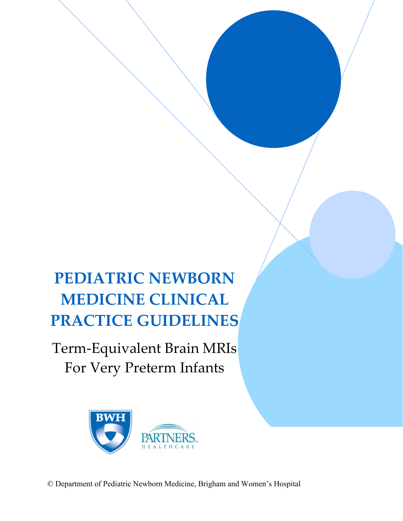# **PEDIATRIC NEWBORN MEDICINE CLINICAL PRACTICE GUIDELINES**

Term-Equivalent Brain MRIs For Very Preterm Infants

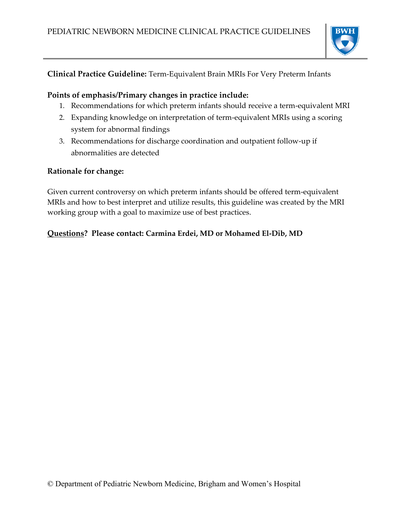

# **Clinical Practice Guideline:** Term-Equivalent Brain MRIs For Very Preterm Infants

# **Points of emphasis/Primary changes in practice include:**

- 1. Recommendations for which preterm infants should receive a term-equivalent MRI
- 2. Expanding knowledge on interpretation of term-equivalent MRIs using a scoring system for abnormal findings
- 3. Recommendations for discharge coordination and outpatient follow-up if abnormalities are detected

### **Rationale for change:**

Given current controversy on which preterm infants should be offered term-equivalent MRIs and how to best interpret and utilize results, this guideline was created by the MRI working group with a goal to maximize use of best practices.

# **Questions? Please contact: Carmina Erdei, MD or Mohamed El-Dib, MD**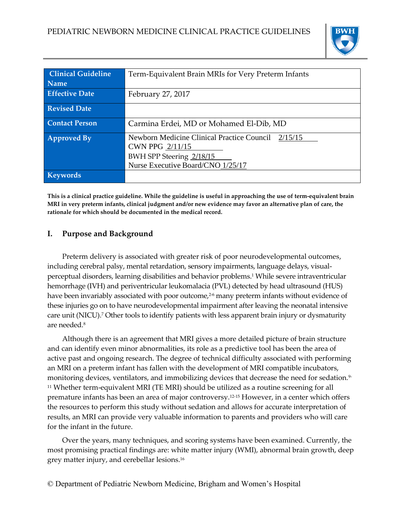

| <b>Clinical Guideline</b> | Term-Equivalent Brain MRIs for Very Preterm Infants                                                                                    |  |  |
|---------------------------|----------------------------------------------------------------------------------------------------------------------------------------|--|--|
| <b>Name</b>               |                                                                                                                                        |  |  |
| <b>Effective Date</b>     | February 27, 2017                                                                                                                      |  |  |
| <b>Revised Date</b>       |                                                                                                                                        |  |  |
| <b>Contact Person</b>     | Carmina Erdei, MD or Mohamed El-Dib, MD                                                                                                |  |  |
| <b>Approved By</b>        | Newborn Medicine Clinical Practice Council 2/15/15<br>CWN PPG 2/11/15<br>BWH SPP Steering 2/18/15<br>Nurse Executive Board/CNO 1/25/17 |  |  |
| <b>Keywords</b>           |                                                                                                                                        |  |  |

**This is a clinical practice guideline. While the guideline is useful in approaching the use of term-equivalent brain MRI in very preterm infants, clinical judgment and/or new evidence may favor an alternative plan of care, the rationale for which should be documented in the medical record.**

### **I. Purpose and Background**

Preterm delivery is associated with greater risk of poor neurodevelopmental outcomes, including cerebral palsy, mental retardation, sensory impairments, language delays, visualperceptual disorders, learning disabilities and behavior problems.<sup>1</sup> While severe intraventricular hemorrhage (IVH) and periventricular leukomalacia (PVL) detected by head ultrasound (HUS) have been invariably associated with poor outcome,<sup>2-6</sup> many preterm infants without evidence of these injuries go on to have neurodevelopmental impairment after leaving the neonatal intensive care unit (NICU).<sup>7</sup> Other tools to identify patients with less apparent brain injury or dysmaturity are needed.<sup>8</sup>

Although there is an agreement that MRI gives a more detailed picture of brain structure and can identify even minor abnormalities, its role as a predictive tool has been the area of active past and ongoing research. The degree of technical difficulty associated with performing an MRI on a preterm infant has fallen with the development of MRI compatible incubators, monitoring devices, ventilators, and immobilizing devices that decrease the need for sedation.<sup>9-</sup> <sup>11</sup> Whether term-equivalent MRI (TE MRI) should be utilized as a routine screening for all premature infants has been an area of major controversy.12-15 However, in a center which offers the resources to perform this study without sedation and allows for accurate interpretation of results, an MRI can provide very valuable information to parents and providers who will care for the infant in the future.

Over the years, many techniques, and scoring systems have been examined. Currently, the most promising practical findings are: white matter injury (WMI), abnormal brain growth, deep grey matter injury, and cerebellar lesions.16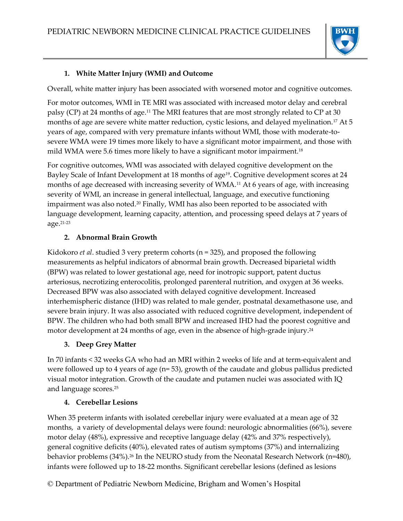

### **1. White Matter Injury (WMI) and Outcome**

Overall, white matter injury has been associated with worsened motor and cognitive outcomes.

For motor outcomes, WMI in TE MRI was associated with increased motor delay and cerebral palsy (CP) at 24 months of age.<sup>11</sup> The MRI features that are most strongly related to CP at 30 months of age are severe white matter reduction, cystic lesions, and delayed myelination.<sup>17</sup> At 5 years of age, compared with very premature infants without WMI, those with moderate-tosevere WMA were 19 times more likely to have a significant motor impairment, and those with mild WMA were 5.6 times more likely to have a significant motor impairment.<sup>18</sup>

For cognitive outcomes, WMI was associated with delayed cognitive development on the Bayley Scale of Infant Development at 18 months of age<sup>19</sup>. Cognitive development scores at 24 months of age decreased with increasing severity of WMA.<sup>11</sup> At 6 years of age, with increasing severity of WMI, an increase in general intellectual, language, and executive functioning impairment was also noted.<sup>20</sup> Finally, WMI has also been reported to be associated with language development, learning capacity, attention, and processing speed delays at 7 years of age.21-23

### **2. Abnormal Brain Growth**

Kidokoro *et al*. studied 3 very preterm cohorts (n = 325), and proposed the following measurements as helpful indicators of abnormal brain growth. Decreased biparietal width (BPW) was related to lower gestational age, need for inotropic support, patent ductus arteriosus, necrotizing enterocolitis, prolonged parenteral nutrition, and oxygen at 36 weeks. Decreased BPW was also associated with delayed cognitive development. Increased interhemispheric distance (IHD) was related to male gender, postnatal dexamethasone use, and severe brain injury. It was also associated with reduced cognitive development, independent of BPW. The children who had both small BPW and increased IHD had the poorest cognitive and motor development at 24 months of age, even in the absence of high-grade injury.<sup>24</sup>

#### **3. Deep Grey Matter**

In 70 infants < 32 weeks GA who had an MRI within 2 weeks of life and at term-equivalent and were followed up to 4 years of age (n= 53), growth of the caudate and globus pallidus predicted visual motor integration. Growth of the caudate and putamen nuclei was associated with IQ and language scores.<sup>25</sup>

#### **4. Cerebellar Lesions**

When 35 preterm infants with isolated cerebellar injury were evaluated at a mean age of 32 months, a variety of developmental delays were found: neurologic abnormalities (66%), severe motor delay (48%), expressive and receptive language delay (42% and 37% respectively), general cognitive deficits (40%), elevated rates of autism symptoms (37%) and internalizing behavior problems (34%).<sup>26</sup> In the NEURO study from the Neonatal Research Network (n=480), infants were followed up to 18-22 months. Significant cerebellar lesions (defined as lesions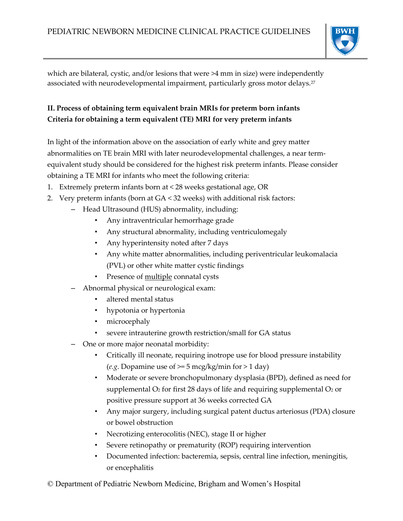

which are bilateral, cystic, and/or lesions that were >4 mm in size) were independently associated with neurodevelopmental impairment, particularly gross motor delays.<sup>27</sup>

# **II. Process of obtaining term equivalent brain MRIs for preterm born infants Criteria for obtaining a term equivalent (TE) MRI for very preterm infants**

In light of the information above on the association of early white and grey matter abnormalities on TE brain MRI with later neurodevelopmental challenges, a near termequivalent study should be considered for the highest risk preterm infants. Please consider obtaining a TE MRI for infants who meet the following criteria:

- 1. Extremely preterm infants born at < 28 weeks gestational age, OR
- 2. Very preterm infants (born at GA < 32 weeks) with additional risk factors:
	- Head Ultrasound (HUS) abnormality, including:
		- Any intraventricular hemorrhage grade
		- Any structural abnormality, including ventriculomegaly
		- Any hyperintensity noted after 7 days
		- Any white matter abnormalities, including periventricular leukomalacia (PVL) or other white matter cystic findings
		- Presence of multiple connatal cysts
	- Abnormal physical or neurological exam:
		- altered mental status
		- hypotonia or hypertonia
		- microcephaly
		- severe intrauterine growth restriction/small for GA status
	- One or more major neonatal morbidity:
		- Critically ill neonate, requiring inotrope use for blood pressure instability (*e.g.* Dopamine use of  $\geq$  5 mcg/kg/min for  $>$  1 day)
		- Moderate or severe bronchopulmonary dysplasia (BPD), defined as need for supplemental  $O_2$  for first 28 days of life and requiring supplemental  $O_2$  or positive pressure support at 36 weeks corrected GA
		- Any major surgery, including surgical patent ductus arteriosus (PDA) closure or bowel obstruction
		- Necrotizing enterocolitis (NEC), stage II or higher
		- Severe retinopathy or prematurity (ROP) requiring intervention
		- Documented infection: bacteremia, sepsis, central line infection, meningitis, or encephalitis
- © Department of Pediatric Newborn Medicine, Brigham and Women's Hospital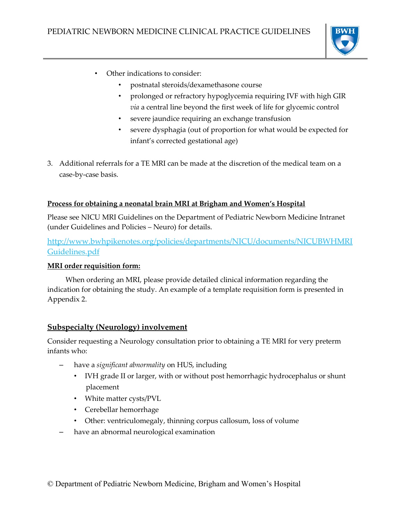

- Other indications to consider:
	- postnatal steroids/dexamethasone course
	- prolonged or refractory hypoglycemia requiring IVF with high GIR *via* a central line beyond the first week of life for glycemic control
	- severe jaundice requiring an exchange transfusion
	- severe dysphagia (out of proportion for what would be expected for infant's corrected gestational age)
- 3. Additional referrals for a TE MRI can be made at the discretion of the medical team on a case-by-case basis.

#### **Process for obtaining a neonatal brain MRI at Brigham and Women's Hospital**

Please see NICU MRI Guidelines on the Department of Pediatric Newborn Medicine Intranet (under Guidelines and Policies – Neuro) for details.

[http://www.bwhpikenotes.org/policies/departments/NICU/documents/NICUBWHMRI](http://www.bwhpikenotes.org/policies/departments/NICU/documents/NICUBWHMRIGuidelines.pdf) [Guidelines.pdf](http://www.bwhpikenotes.org/policies/departments/NICU/documents/NICUBWHMRIGuidelines.pdf)

#### **MRI order requisition form:**

 When ordering an MRI, please provide detailed clinical information regarding the indication for obtaining the study. An example of a template requisition form is presented in Appendix 2.

#### **Subspecialty (Neurology) involvement**

Consider requesting a Neurology consultation prior to obtaining a TE MRI for very preterm infants who:

- have a *significant abnormality* on HUS, including
	- IVH grade II or larger, with or without post hemorrhagic hydrocephalus or shunt placement
	- White matter cysts/PVL
	- Cerebellar hemorrhage
	- Other: ventriculomegaly, thinning corpus callosum, loss of volume
- have an abnormal neurological examination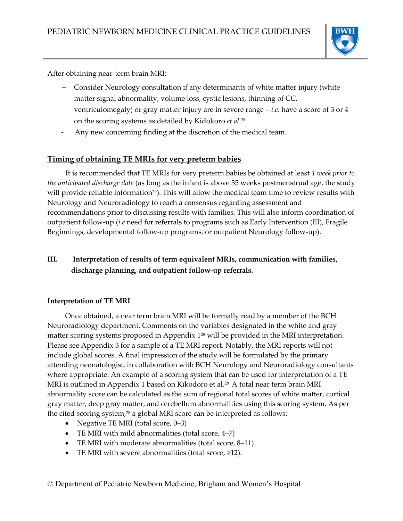

After obtaining near-term brain MRI:

- Consider Neurology consultation if any determinants of white matter injury (white matter signal abnormality, volume loss, cystic lesions, thinning of CC, ventriculomegaly) or gray matter injury are in severe range – *i.e*. have a score of 3 or 4 on the scoring systems as detailed by Kidokoro *et al*. 28
- Any new concerning finding at the discretion of the medical team.

# **Timing of obtaining TE MRIs for very preterm babies**

 It is recommended that TE MRIs for very preterm babies be obtained at least *1 week prior to the anticipated discharge date* (as long as the infant is above 35 weeks postmenstrual age, the study will provide reliable information<sup>29</sup>). This will allow the medical team time to review results with Neurology and Neuroradiology to reach a consensus regarding assessment and recommendations prior to discussing results with families. This will also inform coordination of outpatient follow-up (*i.e* need for referrals to programs such as Early Intervention (EI), Fragile Beginnings, developmental follow-up programs, or outpatient Neurology follow-up).

# **III. Interpretation of results of term equivalent MRIs, communication with families, discharge planning, and outpatient follow-up referrals.**

#### **Interpretation of TE MRI**

Once obtained, a near term brain MRI will be formally read by a member of the BCH Neuroradiology department. Comments on the variables designated in the white and gray matter scoring systems proposed in Appendix 1<sup>28</sup> will be provided in the MRI interpretation. Please see Appendix 3 for a sample of a TE MRI report. Notably, the MRI reports will not include global scores. A final impression of the study will be formulated by the primary attending neonatologist, in collaboration with BCH Neurology and Neuroradiology consultants where appropriate. An example of a scoring system that can be used for interpretation of a TE MRI is outlined in Appendix 1 based on Kikodoro et al.<sup>28</sup> A total near term brain MRI abnormality score can be calculated as the sum of regional total scores of white matter, cortical gray matter, deep gray matter, and cerebellum abnormalities using this scoring system. As per the cited scoring system, <sup>28</sup> a global MRI score can be interpreted as follows:

- Negative TE MRI (total score,  $0-3$ )
- TE MRI with mild abnormalities (total score, 4–7)
- TE MRI with moderate abnormalities (total score, 8–11)
- TE MRI with severe abnormalities (total score,  $\geq$ 12).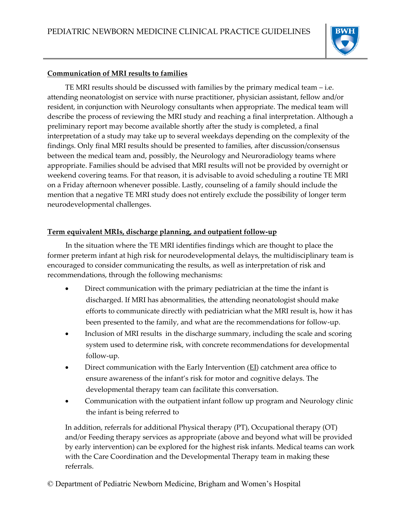

#### **Communication of MRI results to families**

TE MRI results should be discussed with families by the primary medical team – i.e. attending neonatologist on service with nurse practitioner, physician assistant, fellow and/or resident, in conjunction with Neurology consultants when appropriate. The medical team will describe the process of reviewing the MRI study and reaching a final interpretation. Although a preliminary report may become available shortly after the study is completed, a final interpretation of a study may take up to several weekdays depending on the complexity of the findings. Only final MRI results should be presented to families, after discussion/consensus between the medical team and, possibly, the Neurology and Neuroradiology teams where appropriate. Families should be advised that MRI results will not be provided by overnight or weekend covering teams. For that reason, it is advisable to avoid scheduling a routine TE MRI on a Friday afternoon whenever possible. Lastly, counseling of a family should include the mention that a negative TE MRI study does not entirely exclude the possibility of longer term neurodevelopmental challenges.

#### **Term equivalent MRIs, discharge planning, and outpatient follow-up**

 In the situation where the TE MRI identifies findings which are thought to place the former preterm infant at high risk for neurodevelopmental delays, the multidisciplinary team is encouraged to consider communicating the results, as well as interpretation of risk and recommendations, through the following mechanisms:

- Direct communication with the primary pediatrician at the time the infant is discharged. If MRI has abnormalities, the attending neonatologist should make efforts to communicate directly with pediatrician what the MRI result is, how it has been presented to the family, and what are the recommendations for follow-up.
- Inclusion of MRI results in the discharge summary, including the scale and scoring system used to determine risk, with concrete recommendations for developmental follow-up.
- Direct communication with the Early Intervention (EI) catchment area office to ensure awareness of the infant's risk for motor and cognitive delays. The developmental therapy team can facilitate this conversation.
- Communication with the outpatient infant follow up program and Neurology clinic the infant is being referred to

In addition, referrals for additional Physical therapy (PT), Occupational therapy (OT) and/or Feeding therapy services as appropriate (above and beyond what will be provided by early intervention) can be explored for the highest risk infants. Medical teams can work with the Care Coordination and the Developmental Therapy team in making these referrals.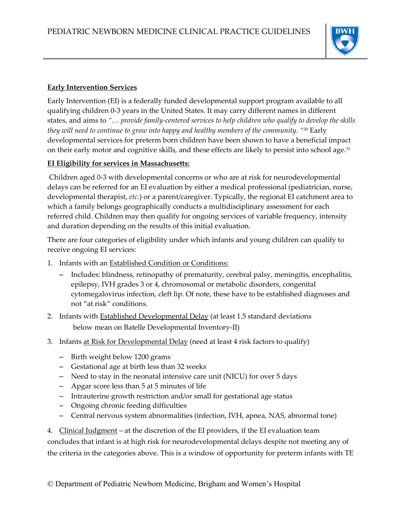

#### **Early Intervention Services**

Early Intervention (EI) is a federally funded developmental support program available to all qualifying children 0-3 years in the United States. It may carry different names in different states, and aims to *"… provide family-centered services to help children who qualify to develop the skills they will need to continue to grow into happy and healthy members of the community. "*<sup>30</sup> Early developmental services for preterm born children have been shown to have a beneficial impact on their early motor and cognitive skills, and these effects are likely to persist into school age.<sup>31</sup>

#### **EI Eligibility for services in Massachusetts:**

Children aged 0-3 with developmental concerns or who are at risk for neurodevelopmental delays can be referred for an EI evaluation by either a medical professional (pediatrician, nurse, developmental therapist, *etc*.) or a parent/caregiver. Typically, the regional EI catchment area to which a family belongs geographically conducts a multidisciplinary assessment for each referred child. Children may then qualify for ongoing services of variable frequency, intensity and duration depending on the results of this initial evaluation.

There are four categories of eligibility under which infants and young children can qualify to receive ongoing EI services:

- 1. Infants with an Established Condition or Conditions:
	- Includes: blindness, retinopathy of prematurity, cerebral palsy, meningitis, encephalitis, epilepsy, IVH grades 3 or 4, chromosomal or metabolic disorders, congenital cytomegalovirus infection, cleft lip. Of note, these have to be established diagnoses and not "at risk" conditions.
- 2. Infants with **Established Developmental Delay** (at least 1.5 standard deviations below mean on Batelle Developmental Inventory-II)
- 3. Infants at Risk for Developmental Delay (need at least 4 risk factors to qualify)
	- Birth weight below 1200 grams
	- Gestational age at birth less than 32 weeks
	- Need to stay in the neonatal intensive care unit (NICU) for over 5 days
	- Apgar score less than 5 at 5 minutes of life
	- Intrauterine growth restriction and/or small for gestational age status
	- Ongoing chronic feeding difficulties
	- Central nervous system abnormalities (infection, IVH, apnea, NAS, abnormal tone)

4. Clinical Judgment – at the discretion of the EI providers, if the EI evaluation team concludes that infant is at high risk for neurodevelopmental delays despite not meeting any of the criteria in the categories above. This is a window of opportunity for preterm infants with TE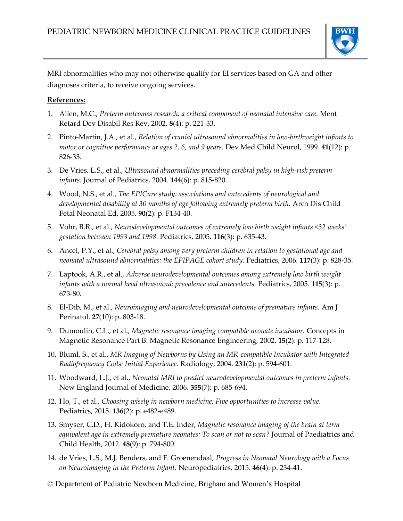

MRI abnormalities who may not otherwise qualify for EI services based on GA and other diagnoses criteria, to receive ongoing services.

#### **References:**

- 1. Allen, M.C., *Preterm outcomes research: a critical component of neonatal intensive care.* Ment Retard Dev Disabil Res Rev, 2002. **8**(4): p. 221-33.
- 2. Pinto-Martin, J.A., et al., *Relation of cranial ultrasound abnormalities in low-birthweight infants to motor or cognitive performance at ages 2, 6, and 9 years.* Dev Med Child Neurol, 1999. **41**(12): p. 826-33.
- 3. De Vries, L.S., et al., *Ultrasound abnormalities preceding cerebral palsy in high-risk preterm infants.* Journal of Pediatrics, 2004. **144**(6): p. 815-820.
- 4. Wood, N.S., et al., *The EPICure study: associations and antecedents of neurological and developmental disability at 30 months of age following extremely preterm birth.* Arch Dis Child Fetal Neonatal Ed, 2005. **90**(2): p. F134-40.
- 5. Vohr, B.R., et al., *Neurodevelopmental outcomes of extremely low birth weight infants <32 weeks' gestation between 1993 and 1998.* Pediatrics, 2005. **116**(3): p. 635-43.
- 6. Ancel, P.Y., et al., *Cerebral palsy among very preterm children in relation to gestational age and neonatal ultrasound abnormalities: the EPIPAGE cohort study.* Pediatrics, 2006. **117**(3): p. 828-35.
- 7. Laptook, A.R., et al., *Adverse neurodevelopmental outcomes among extremely low birth weight infants with a normal head ultrasound: prevalence and antecedents.* Pediatrics, 2005. **115**(3): p. 673-80.
- 8. El-Dib, M., et al., *Neuroimaging and neurodevelopmental outcome of premature infants.* Am J Perinatol. **27**(10): p. 803-18.
- 9. Dumoulin, C.L., et al., *Magnetic resonance imaging compatible neonate incubator.* Concepts in Magnetic Resonance Part B: Magnetic Resonance Engineering, 2002. **15**(2): p. 117-128.
- 10. Bluml, S., et al., *MR Imaging of Newborns by Using an MR-compatible Incubator with Integrated Radiofrequency Coils: Initial Experience.* Radiology, 2004. **231**(2): p. 594-601.
- 11. Woodward, L.J., et al., *Neonatal MRI to predict neurodevelopmental outcomes in preterm infants.* New England Journal of Medicine, 2006. **355**(7): p. 685-694.
- 12. Ho, T., et al., *Choosing wisely in newborn medicine: Five opportunities to increase value.* Pediatrics, 2015. **136**(2): p. e482-e489.
- 13. Smyser, C.D., H. Kidokoro, and T.E. Inder, *Magnetic resonance imaging of the brain at term equivalent age in extremely premature neonates: To scan or not to scan?* Journal of Paediatrics and Child Health, 2012. **48**(9): p. 794-800.
- 14. de Vries, L.S., M.J. Benders, and F. Groenendaal, *Progress in Neonatal Neurology with a Focus on Neuroimaging in the Preterm Infant.* Neuropediatrics, 2015. **46**(4): p. 234-41.
- © Department of Pediatric Newborn Medicine, Brigham and Women's Hospital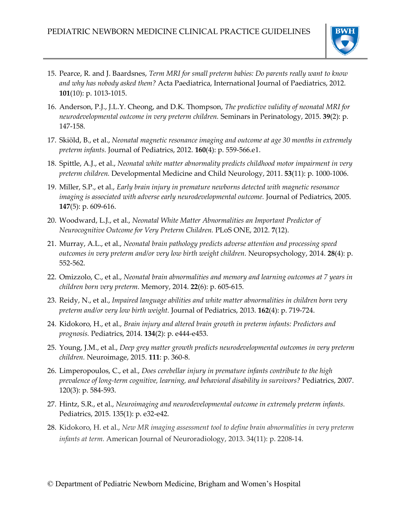

- 15. Pearce, R. and J. Baardsnes, *Term MRI for small preterm babies: Do parents really want to know and why has nobody asked them?* Acta Paediatrica, International Journal of Paediatrics, 2012. **101**(10): p. 1013-1015.
- 16. Anderson, P.J., J.L.Y. Cheong, and D.K. Thompson, *The predictive validity of neonatal MRI for neurodevelopmental outcome in very preterm children.* Seminars in Perinatology, 2015. **39**(2): p. 147-158.
- 17. Skiöld, B., et al., *Neonatal magnetic resonance imaging and outcome at age 30 months in extremely preterm infants.* Journal of Pediatrics, 2012. **160**(4): p. 559-566.e1.
- 18. Spittle, A.J., et al., *Neonatal white matter abnormality predicts childhood motor impairment in very preterm children.* Developmental Medicine and Child Neurology, 2011. **53**(11): p. 1000-1006.
- 19. Miller, S.P., et al., *Early brain injury in premature newborns detected with magnetic resonance imaging is associated with adverse early neurodevelopmental outcome.* Journal of Pediatrics, 2005. **147**(5): p. 609-616.
- 20. Woodward, L.J., et al., *Neonatal White Matter Abnormalities an Important Predictor of Neurocognitive Outcome for Very Preterm Children.* PLoS ONE, 2012. **7**(12).
- 21. Murray, A.L., et al., *Neonatal brain pathology predicts adverse attention and processing speed outcomes in very preterm and/or very low birth weight children.* Neuropsychology, 2014. **28**(4): p. 552-562.
- 22. Omizzolo, C., et al., *Neonatal brain abnormalities and memory and learning outcomes at 7 years in children born very preterm.* Memory, 2014. **22**(6): p. 605-615.
- 23. Reidy, N., et al., *Impaired language abilities and white matter abnormalities in children born very preterm and/or very low birth weight.* Journal of Pediatrics, 2013. **162**(4): p. 719-724.
- 24. Kidokoro, H., et al., *Brain injury and altered brain growth in preterm infants: Predictors and prognosis.* Pediatrics, 2014. **134**(2): p. e444-e453.
- 25. Young, J.M., et al., *Deep grey matter growth predicts neurodevelopmental outcomes in very preterm children.* Neuroimage, 2015. **111**: p. 360-8.
- 26. Limperopoulos, C., et al., *Does cerebellar injury in premature infants contribute to the high prevalence of long-term cognitive, learning, and behavioral disability in survivors?* Pediatrics, 2007. 120(3): p. 584-593.
- 27. Hintz, S.R., et al., *Neuroimaging and neurodevelopmental outcome in extremely preterm infants.* Pediatrics, 2015. 135(1): p. e32-e42.
- 28. Kidokoro, H. et al., *New MR imaging assessment tool to define brain abnormalities in very preterm infants at term.* American Journal of Neuroradiology, 2013. 34(11): p. 2208-14.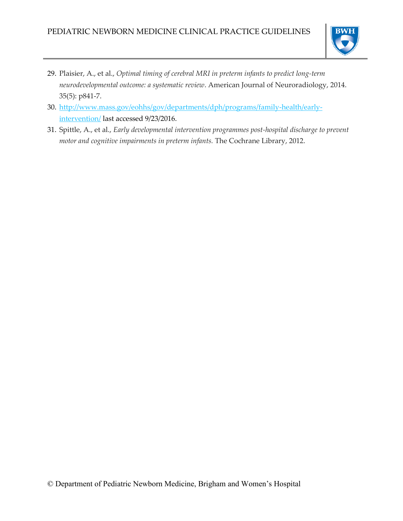

- 29. Plaisier, A., et al., *Optimal timing of cerebral MRI in preterm infants to predict long-term neurodevelopmental outcome: a systematic review*. American Journal of Neuroradiology, 2014. 35(5): p841-7.
- 30. [http://www.mass.gov/eohhs/gov/departments/dph/programs/family-health/early](http://www.mass.gov/eohhs/gov/departments/dph/programs/family-health/early-intervention/)[intervention/](http://www.mass.gov/eohhs/gov/departments/dph/programs/family-health/early-intervention/) last accessed 9/23/2016.
- 31. Spittle, A., et al., *Early developmental intervention programmes post‐hospital discharge to prevent motor and cognitive impairments in preterm infants.* The Cochrane Library, 2012.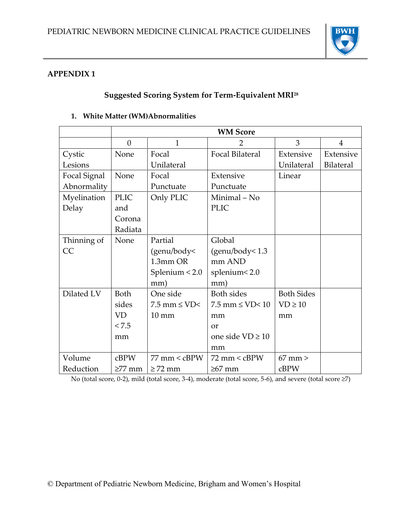# **APPENDIX 1**

# **Suggested Scoring System for Term-Equivalent MRI<sup>28</sup>**

#### **WM Score**  $0 \quad 1 \quad 1 \quad 2 \quad 3 \quad 4$ Cystic Lesions None Focal Unilateral Focal Bilateral Extensive Unilateral Extensive Bilateral Focal Signal Abnormality None | Focal Punctuate Extensive Punctuate Linear Myelination Delay PLIC and Corona Radiata Only PLIC Minimal – No PLIC Thinning of CC None Partial (genu/body< 1.3mm OR Splenium < 2.0 mm) Global (genu/body< 1.3 mm AND splenium< 2.0 mm) Dilated  $LV$  Both sides VD  $< 7.5$ mm One side  $7.5$  mm  $\leq$  VD $<$ 10 mm Both sides  $7.5$  mm  $\leq$  VD $<$  10 mm or one side VD ≥ 10 mm Both Sides  $VD \ge 10$ mm Volume Reduction cBPW ≥77 mm 77 mm < cBPW ≥ 72 mm  $72 \text{ mm} < \text{cBPW}$ ≥67 mm 67 mm > cBPW

#### **1. White Matter (WM)Abnormalities**

No (total score, 0-2), mild (total score, 3-4), moderate (total score, 5-6), and severe (total score ≥7)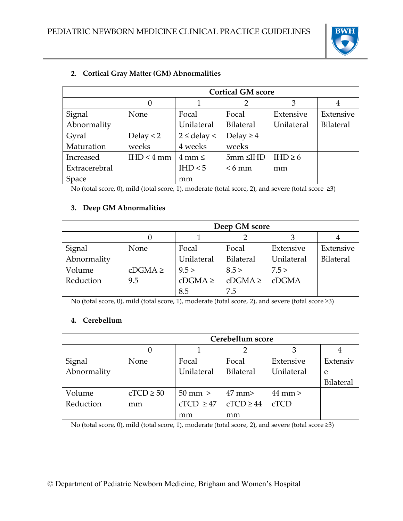

|               | <b>Cortical GM score</b> |                     |                  |              |                  |
|---------------|--------------------------|---------------------|------------------|--------------|------------------|
|               |                          |                     |                  | 3            |                  |
| Signal        | None                     | Focal               | Focal            | Extensive    | Extensive        |
| Abnormality   |                          | Unilateral          | <b>Bilateral</b> | Unilateral   | <b>Bilateral</b> |
| Gyral         | Delay $<$ 2              | $2 \le$ delay <     | Delay $\geq 4$   |              |                  |
| Maturation    | weeks                    | 4 weeks             | weeks            |              |                  |
| Increased     | IHD < 4 mm               | $4 \text{ mm} \leq$ | $5mm \leq H$ D   | IHD $\geq 6$ |                  |
| Extracerebral |                          | IHD < 5             | $<6$ mm          | mm           |                  |
| Space         |                          | mm                  |                  |              |                  |

# **2. Cortical Gray Matter (GM) Abnormalities**

No (total score, 0), mild (total score, 1), moderate (total score, 2), and severe (total score ≥3)

### **3. Deep GM Abnormalities**

|             | Deep GM score |             |                  |            |                  |
|-------------|---------------|-------------|------------------|------------|------------------|
|             |               |             |                  |            | 4                |
| Signal      | None          | Focal       | Focal            | Extensive  | Extensive        |
| Abnormality |               | Unilateral  | <b>Bilateral</b> | Unilateral | <b>Bilateral</b> |
| Volume      | $cDGMA \ge$   | 9.5 >       | 8.5 >            | 7.5 >      |                  |
| Reduction   | 9.5           | $cDGMA \ge$ | $cDGMA \ge$      | cDGMA      |                  |
|             |               | 8.5         | 7.5              |            |                  |

No (total score, 0), mild (total score, 1), moderate (total score, 2), and severe (total score ≥3)

#### **4. Cerebellum**

|             | Cerebellum score |                   |                  |             |                  |
|-------------|------------------|-------------------|------------------|-------------|------------------|
|             |                  |                   |                  |             |                  |
| Signal      | None             | Focal             | Focal            | Extensive   | Extensiv         |
| Abnormality |                  | Unilateral        | <b>Bilateral</b> | Unilateral  | e                |
|             |                  |                   |                  |             | <b>Bilateral</b> |
| Volume      | $cTCD \ge 50$    | $50 \text{ mm}$ > | $47 \text{ mm}$  | $44$ mm $>$ |                  |
| Reduction   | mm               | $cTCD \geq 47$    | $cTCD \geq 44$   | cTCD        |                  |
|             |                  | mm                | mm               |             |                  |

No (total score, 0), mild (total score, 1), moderate (total score, 2), and severe (total score ≥3)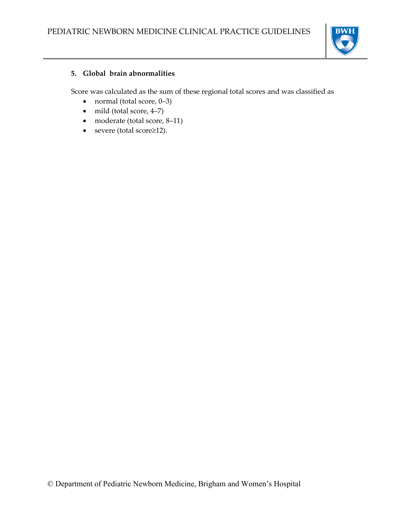

#### **5. Global brain abnormalities**

Score was calculated as the sum of these regional total scores and was classified as

- normal (total score,  $0-3$ )
- mild (total score, 4-7)
- moderate (total score, 8–11)
- severe (total score≥12).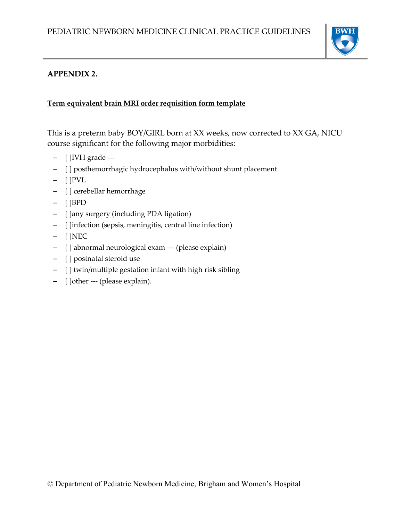

# **APPENDIX 2.**

#### **Term equivalent brain MRI order requisition form template**

This is a preterm baby BOY/GIRL born at XX weeks, now corrected to XX GA, NICU course significant for the following major morbidities:

- [ ]IVH grade ---
- [ ] posthemorrhagic hydrocephalus with/without shunt placement
- [ ]PVL
- [ ] cerebellar hemorrhage
- [ ]BPD
- [ ]any surgery (including PDA ligation)
- [ ]infection (sepsis, meningitis, central line infection)
- [ ]NEC
- [ ] abnormal neurological exam --- (please explain)
- [ ] postnatal steroid use
- [ ] twin/multiple gestation infant with high risk sibling
- [ ]other --- (please explain).